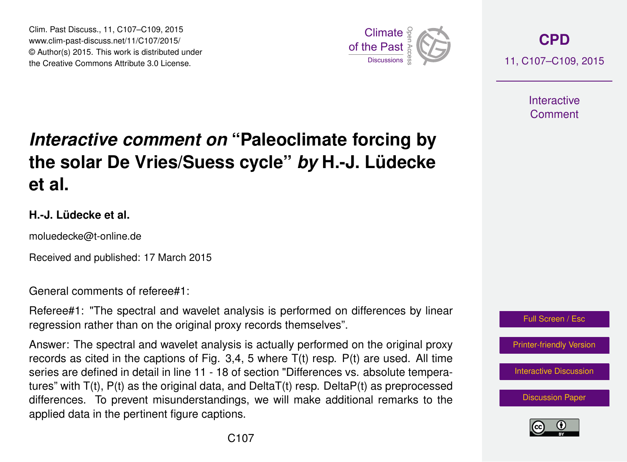Clim. Past Discuss., 11, C107–C109, 2015 www.clim-past-discuss.net/11/C107/2015/ © Author(s) 2015. This work is distributed under Clim. Past Discuss., 11, C107–C109, 2015<br>www.clim-past-discuss.net/11/C107/2015/<br>© Author(s) 2015. This work is distributed under<br>the Creative Commons Attribute 3.0 License.



**[CPD](http://www.clim-past-discuss.net)** 11, C107–C109, 2015

> **Interactive** Comment

## *Interactive comment on* **"Paleoclimate forcing by the solar De Vries/Suess cycle"** *by* **H.-J. Lüdecke et al.**

## **H.-J. Lüdecke et al.**

moluedecke@t-online.de

Received and published: 17 March 2015

General comments of referee#1:

Referee#1: "The spectral and wavelet analysis is performed on differences by linear regression rather than on the original proxy records themselves".

Answer: The spectral and wavelet analysis is actually performed on the original proxy records as cited in the captions of Fig.  $3.4$ , 5 where  $T(t)$  resp.  $P(t)$  are used. All time series are defined in detail in line 11 - 18 of section "Differences vs. absolute temperatures" with  $T(t)$ ,  $P(t)$  as the original data, and Delta $T(t)$  resp. Delta $P(t)$  as preprocessed differences. To prevent misunderstandings, we will make additional remarks to the applied data in the pertinent figure captions.



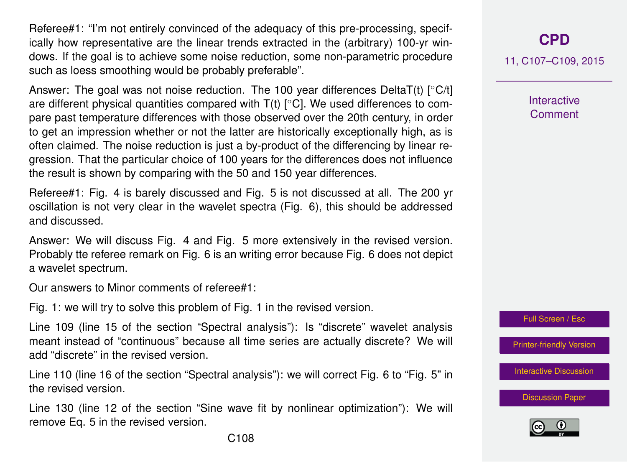Referee#1: "I'm not entirely convinced of the adequacy of this pre-processing, specifically how representative are the linear trends extracted in the (arbitrary) 100-yr windows. If the goal is to achieve some noise reduction, some non-parametric procedure such as loess smoothing would be probably preferable".

Answer: The goal was not noise reduction. The 100 year differences DeltaT(t) [◦C/t] are different physical quantities compared with  $T(t)$  [ $°C$ ]. We used differences to compare past temperature differences with those observed over the 20th century, in order to get an impression whether or not the latter are historically exceptionally high, as is often claimed. The noise reduction is just a by-product of the differencing by linear regression. That the particular choice of 100 years for the differences does not influence the result is shown by comparing with the 50 and 150 year differences.

Referee#1: Fig. 4 is barely discussed and Fig. 5 is not discussed at all. The 200 yr oscillation is not very clear in the wavelet spectra (Fig. 6), this should be addressed and discussed.

Answer: We will discuss Fig. 4 and Fig. 5 more extensively in the revised version. Probably tte referee remark on Fig. 6 is an writing error because Fig. 6 does not depict a wavelet spectrum.

Our answers to Minor comments of referee#1:

Fig. 1: we will try to solve this problem of Fig. 1 in the revised version.

Line 109 (line 15 of the section "Spectral analysis"): Is "discrete" wavelet analysis meant instead of "continuous" because all time series are actually discrete? We will add "discrete" in the revised version.

Line 110 (line 16 of the section "Spectral analysis"): we will correct Fig. 6 to "Fig. 5" in the revised version.

Line 130 (line 12 of the section "Sine wave fit by nonlinear optimization"): We will remove Eq. 5 in the revised version.

**[CPD](http://www.clim-past-discuss.net)**

11, C107–C109, 2015

**Interactive Comment** 



[Printer-friendly Version](http://www.clim-past-discuss.net/11/C107/2015/cpd-11-C107-2015-print.pdf)

[Interactive Discussion](http://www.clim-past-discuss.net/11/279/2015/cpd-11-279-2015-discussion.html)